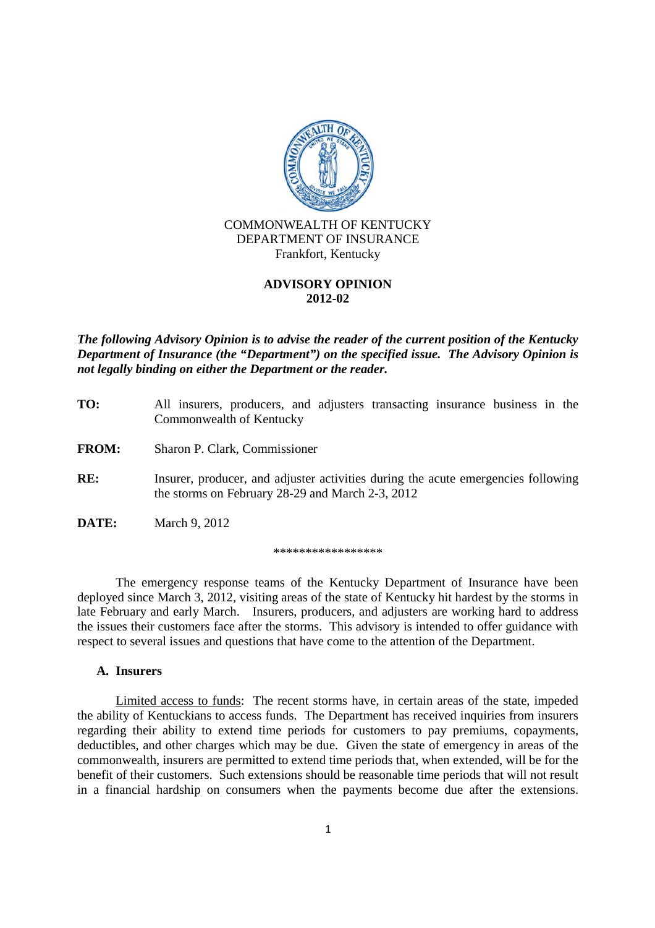

Frankfort, Kentucky

## **ADVISORY OPINION 2012-02**

*The following Advisory Opinion is to advise the reader of the current position of the Kentucky Department of Insurance (the "Department") on the specified issue. The Advisory Opinion is not legally binding on either the Department or the reader.*

**TO:** All insurers, producers, and adjusters transacting insurance business in the Commonwealth of Kentucky **FROM:** Sharon P. Clark, Commissioner **RE:** Insurer, producer, and adjuster activities during the acute emergencies following the storms on February 28-29 and March 2-3, 2012 **DATE:** March 9, 2012

\*\*\*\*\*\*\*\*\*\*\*\*\*\*\*\*\*

The emergency response teams of the Kentucky Department of Insurance have been deployed since March 3, 2012, visiting areas of the state of Kentucky hit hardest by the storms in late February and early March. Insurers, producers, and adjusters are working hard to address the issues their customers face after the storms. This advisory is intended to offer guidance with respect to several issues and questions that have come to the attention of the Department.

## **A. Insurers**

Limited access to funds: The recent storms have, in certain areas of the state, impeded the ability of Kentuckians to access funds. The Department has received inquiries from insurers regarding their ability to extend time periods for customers to pay premiums, copayments, deductibles, and other charges which may be due. Given the state of emergency in areas of the commonwealth, insurers are permitted to extend time periods that, when extended, will be for the benefit of their customers. Such extensions should be reasonable time periods that will not result in a financial hardship on consumers when the payments become due after the extensions.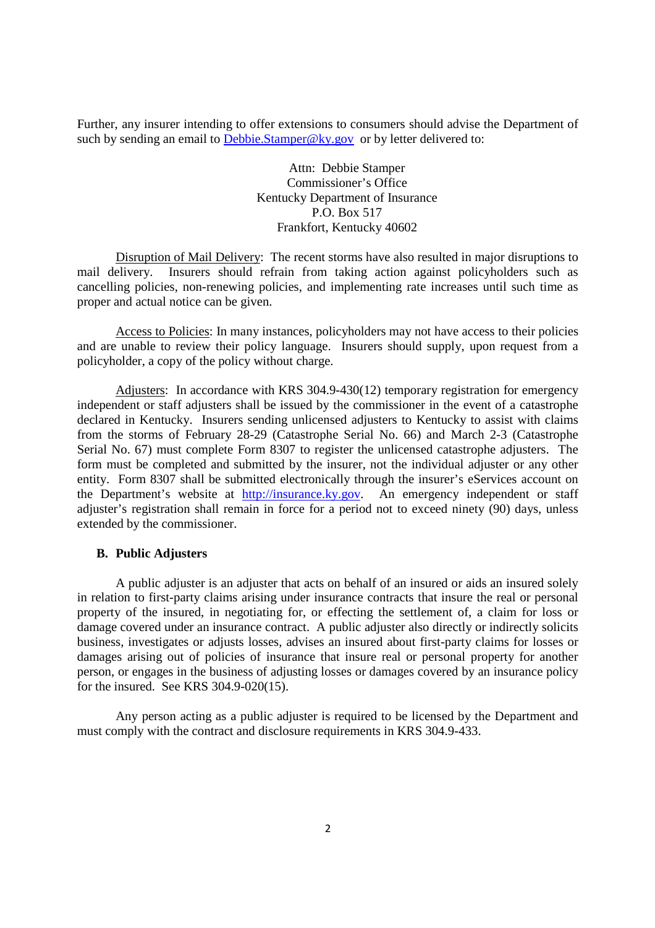Further, any insurer intending to offer extensions to consumers should advise the Department of such by sending an email to Debbie.Stamper@ky.gov or by letter delivered to:

> Attn: Debbie Stamper Commissioner's Office Kentucky Department of Insurance P.O. Box 517 Frankfort, Kentucky 40602

Disruption of Mail Delivery: The recent storms have also resulted in major disruptions to mail delivery. Insurers should refrain from taking action against policyholders such as cancelling policies, non-renewing policies, and implementing rate increases until such time as proper and actual notice can be given.

Access to Policies: In many instances, policyholders may not have access to their policies and are unable to review their policy language. Insurers should supply, upon request from a policyholder, a copy of the policy without charge.

Adjusters: In accordance with KRS 304.9-430(12) temporary registration for emergency independent or staff adjusters shall be issued by the commissioner in the event of a catastrophe declared in Kentucky. Insurers sending unlicensed adjusters to Kentucky to assist with claims from the storms of February 28-29 (Catastrophe Serial No. 66) and March 2-3 (Catastrophe Serial No. 67) must complete Form 8307 to register the unlicensed catastrophe adjusters. The form must be completed and submitted by the insurer, not the individual adjuster or any other entity. Form 8307 shall be submitted electronically through the insurer's eServices account on the Department's website at http://insurance.ky.gov. An emergency independent or staff adjuster's registration shall remain in force for a period not to exceed ninety (90) days, unless extended by the commissioner.

## **B. Public Adjusters**

A public adjuster is an adjuster that acts on behalf of an insured or aids an insured solely in relation to first-party claims arising under insurance contracts that insure the real or personal property of the insured, in negotiating for, or effecting the settlement of, a claim for loss or damage covered under an insurance contract. A public adjuster also directly or indirectly solicits business, investigates or adjusts losses, advises an insured about first-party claims for losses or damages arising out of policies of insurance that insure real or personal property for another person, or engages in the business of adjusting losses or damages covered by an insurance policy for the insured. See KRS 304.9-020(15).

Any person acting as a public adjuster is required to be licensed by the Department and must comply with the contract and disclosure requirements in KRS 304.9-433.